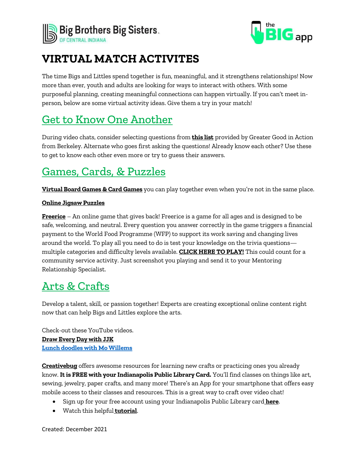



## **VIRTUAL MATCH ACTIVITES**

The time Bigs and Littles spend together is fun, meaningful, and it strengthens relationships! Now more than ever, youth and adults are looking for ways to interact with others. With some purposeful planning, creating meaningful connections can happen virtually. If you can't meet inperson, below are some virtual activity ideas. Give them a try in your match!

## Get to Know One Another

During video chats, consider selecting questions from **[this list](https://ggia.berkeley.edu/practice/36_questions_for_increasing_closeness?_ga=2.119480203.365091663.1585083206-631830334.1585083206)** provided by Greater Good in Action from Berkeley. Alternate who goes first asking the questions! Already know each other? Use these to get to know each other even more or try to guess their answers.

# Games, Cards, & Puzzles

**[Virtual Board Games & Card](https://playingcards.io/) Games** you can play together even when you're not in the same place.

#### **[Online Jigsaw Puzzles](https://www.jigsawexplorer.com/)**

**[Freerice](https://freerice.com/categories)** – An online game that gives back! Freerice is a game for all ages and is designed to be safe, welcoming, and neutral. Every question you answer correctly in the game triggers a financial payment to the [World Food Programme \(WFP\)](https://www.wfp.org/) to support its work saving and changing lives around the world. To play all you need to do is test your knowledge on the trivia questions multiple categories and difficulty levels available. **[CLICK HERE TO PLAY!](https://freerice.com/categories)** This could count for a community service activity. Just screenshot you playing and send it to your Mentoring Relationship Specialist.

## Arts & Crafts

Develop a talent, skill, or passion together! Experts are creating exceptional online content right now that can help Bigs and Littles explore the arts.

Check-out these YouTube videos. **[Draw Every Day with JJK](https://www.youtube.com/user/studiojjk) Lunch doodles with Mo [Willems](https://www.google.com/search?q=lunch+doodles+with+mo+willems&sxsrf=AOaemvIeBFt-wTcqWALEuhe6M0G4rFoE9w%3A1640181492204&source=hp&ei=9C7DYf2jCeOrqtsPi5eZ4AQ&iflsig=ALs-wAMAAAAAYcM9BFpgSlNXPoXq5-BLuiQuinUhHGJF&oq=lunch+dood&gs_lcp=Cgdnd3Mtd2l6EAEYADIFCAAQgAQyBQgAEIAEMgcIABCABBAKOgQIIxAnOgQILhAnOg4ILhCABBCxAxDHARCjAjoOCC4QgAQQsQMQxwEQ0QM6CwguEIAEELEDEIMBOggILhCxAxCDAToICAAQgAQQsQM6CwguEIAEEMcBEK8BOggILhCABBCxAzoLCAAQgAQQsQMQyQM6BQgAEJIDOgsIABCABBCxAxCDAToICAAQgAQQyQNQAFikNGDrSWgAcAB4AIABcYgBlgeSAQM3LjOYAQCgAQE&sclient=gws-wiz)**

**[Creativebug](https://www.creativebug.com/lib/indypl)** offers awesome resources for learning new crafts or practicing ones you already know. **It is FREE with your Indianapolis Public Library Card.** You'll find classes on things like art, sewing, jewelry, paper crafts, and many more! There's an App for your smartphone that offers easy mobile access to their classes and resources. This is a great way to craft over video chat!

- Sign up for your free account using your Indianapolis Public Library card **[here](https://www.creativebug.com/lib/indypl)**.
- Watch this helpful**[tutorial](https://my.nicheacademy.com/indypl/course/10849)**.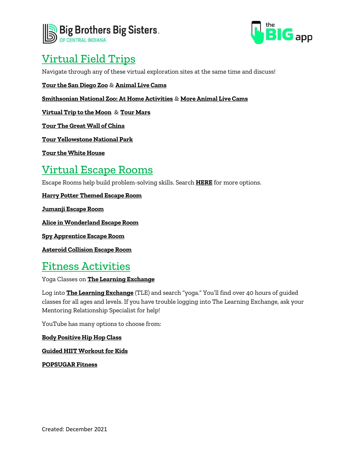



## Virtual Field Trips

Navigate through any of these virtual exploration sites at the same time and discuss!

**[Tour the San Diego Zoo](https://kids.sandiegozoo.org/)** & **[Animal Live Cams](https://kids.sandiegozoo.org/videos)**

**[Smithsonian National Zoo: At Home Activities](https://nationalzoo.si.edu/education/educational-activities-you-can-do-home)** & **[More Animal Live Cams](https://nationalzoo.si.edu/webcams)**

**Virtual [Trip to the Moon](https://moon.nasa.gov/)** & **[Tour Mars](https://accessmars.withgoogle.com/)**

**[Tour The Great Wall of China](https://www.thechinaguide.com/destination/great-wall-of-china)**

**[Tour Yellowstone National Park](https://www.nps.gov/yell/learn/photosmultimedia/virtualtours.htm)**

**[Tour the White House](https://www.360virtualtour.co/portfolio/the-white-house-google-virtual-tour/)**

### Virtual Escape Rooms

Escape Rooms help build problem-solving skills. Search **[HERE](https://www.dazzlingdailydeals.com/free-virtual-escape-rooms-online-for-kids/)** for more options.

**[Harry Potter Themed Escape Room](https://docs.google.com/forms/d/e/1FAIpQLSflNxNM0jzbZJjUqOcXkwhGTfii4CM_CA3kCxImbY8c3AABEA/viewform)**

**Jumanji [Escape Room](https://docs.google.com/forms/d/e/1FAIpQLSdrB5QoaGlHtSnRfsJW4yNny4F9c4bTCs8NkWgMEZeycUA3PQ/viewform?fbclid=IwAR3c4VO7wGB28EKqRMDJJNyUAuZmTlmdUaZjLftNCsKCg4NxACErRxccv54)**

**[Alice in Wonderland Escape Room](https://docs.google.com/forms/d/e/1FAIpQLSc4-g_PdCdGnThONdtmbQZdfIG1tfy_L2PedFrN-uCnN5nDlg/viewform?fbclid=IwAR0qpu6UNmrlFHQFIn6psa-viWmieMEjPoMUGdWfnwWZBuocZFTDyV8RLvg)**

**[Spy Apprentice Escape Room](https://docs.google.com/forms/d/e/1FAIpQLSdelL0PKnOdBc0v3kO_O71ufpLq5pZogq7sER-GqPE71Ttbbw/viewform?fbclid=IwAR29rVHWlmmdH3jyjSHjgZ_gomV9oVC65_4aNjcyYEENNGDeuaY5ffY1ZZw)**

**[Asteroid Collision Escape Room](https://sites.google.com/view/asteroidcollision4and5/home)**

### Fitness Activities

Yoga Classes on **[The Learning Exchange](https://bbbs.csod.com/client/bbbs/default.aspx)**

Log into **[The Learning Exchange](https://bbbs.csod.com/client/bbbs/default.aspx)** (TLE) and search "yoga." You'll find over 40 hours of guided classes for all ages and levels. If you have trouble logging into The Learning Exchange, ask your Mentoring Relationship Specialist for help!

YouTube has many options to choose from:

**[Body Positive Hip Hop Class](https://www.youtube.com/watch?v=zDaXybmMQy8)**

**[Guided HIIT Workout for Kids](https://www.youtube.com/watch?v=fomkRYcl_mo)**

**[POPSUGAR Fitness](https://www.youtube.com/c/POPSUGARFitness)**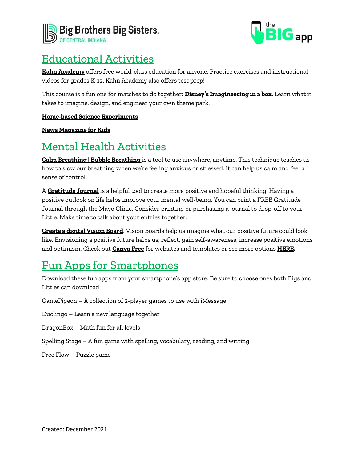



### Educational Activities

**[Kahn Academy](https://www.khanacademy.org/)** offers free world-class education for anyone. Practice exercises and instructional videos for grades K-12. Kahn Academy also offers test prep!

This course is a fun one for matches to do together: **[Disney's Imagineering in a box](https://www.khanacademy.org/humanities/hass-storytelling).** Learn what it takes to imagine, design, and engineer your own theme park!

#### **[Home-based Science Experiments](https://www.edhesive.com/)**

#### **[News Magazine for Kids](https://youngzine.org/)**

## Mental Health Activities

**[Calm Breathing | Bubble Breathing](https://www.youtube.com/watch?v=uxayUBd6T7M)** is a tool to use anywhere, anytime. This technique teaches us how to slow our breathing when we're feeling anxious or stressed. It can help us calm and feel a sense of control.

A **[Gratitude Journal](https://www.mayoclinichealthsystem.org/-/media/local-files/eau-claire/documents/miscellaneous/gratitude-journal-undated.pdf?la=en&hash=183EC409D15AF52D76A27160A736F6B1)** is a helpful tool to create more positive and hopeful thinking. Having a positive outlook on life helps improve your mental well-being. You can print a FREE Gratitude Journal through the Mayo Clinic. Consider printing or purchasing a journal to drop-off to your Little. Make time to talk about your entries together.

**[Create a digital Vision Board](https://www.psychologytoday.com/us/blog/click-here-happiness/202103/what-is-vision-board-and-why-make-one)**. Vision Boards help us imagine what our positive future could look like. Envisioning a positive future helps us; reflect, gain self-awareness, increase positive emotions and optimism. Check out **[Canva Free](https://www.canva.com/templates/?query=vision-board)** for websites and templates or see more options **[HERE.](https://www.developgoodhabits.com/online-vision-board/)**

## Fun Apps for Smartphones

Download these fun apps from your smartphone's app store. Be sure to choose ones both Bigs and Littles can download!

GamePigeon – A collection of 2-player games to use with iMessage

Duolingo – Learn a new language together

DragonBox – Math fun for all levels

Spelling Stage – A fun game with spelling, vocabulary, reading, and writing

Free Flow – Puzzle game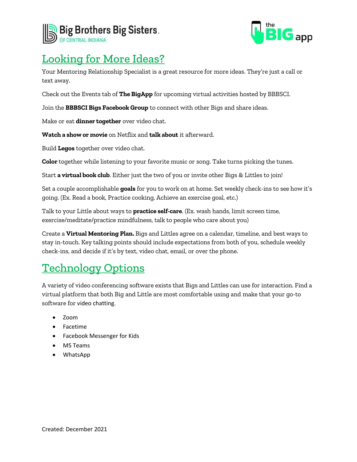



# Looking for More Ideas?

Your Mentoring Relationship Specialist is a great resource for more ideas. They're just a call or text away.

Check out the Events tab of **The BigApp** for upcoming virtual activities hosted by BBBSCI.

Join the **BBBSCI Bigs Facebook Group** to connect with other Bigs and share ideas.

Make or eat **dinner together** over video chat.

**Watch a show or movie** on Netflix and **talk about** it afterward.

Build **Legos** together over video chat.

**Color** together while listening to your favorite music or song. Take turns picking the tunes.

Start **a virtual book club**. Either just the two of you or invite other Bigs & Littles to join!

Set a couple accomplishable **goals** for you to work on at home. Set weekly check-ins to see how it's going. (Ex. Read a book, Practice cooking, Achieve an exercise goal, etc.)

Talk to your Little about ways to **practice self-care**. (Ex. wash hands, limit screen time, exercise/meditate/practice mindfulness, talk to people who care about you)

Create a **Virtual Mentoring Plan.** Bigs and Littles agree on a calendar, timeline, and best ways to stay in-touch. Key talking points should include expectations from both of you, schedule weekly check-ins, and decide if it's by text, video chat, email, or over the phone.

## Technology Options

A variety of video conferencing software exists that Bigs and Littles can use for interaction. Find a virtual platform that both Big and Little are most comfortable using and make that your go-to software for video chatting.

- Zoom
- Facetime
- Facebook Messenger for Kids
- MS Teams
- WhatsApp